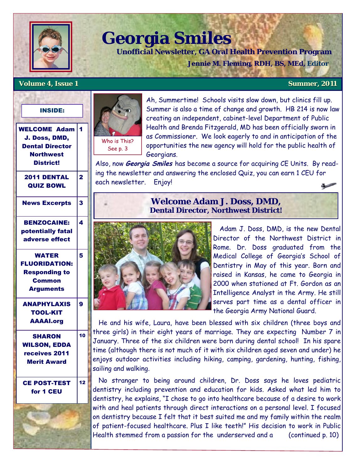

# **Georgia Smiles**

 **Unofficial Newsletter, GA Oral Health Prevention Program** 

 **Jennie M. Fleming, RDH, BS, MEd, Editor** 

### **Volume 4, Issue 1 Summer, 2011**

## INSIDE:

WELCOME Adam 1 J. Doss, DMD, Dental Director **Northwest** District!

2011 DENTAL QUIZ BOWL

2

4

5

9

10

12



Ah, Summertime! Schools visits slow down, but clinics fill up. Summer is also a time of change and growth. HB 214 is now law creating an independent, cabinet-level Department of Public Health and Brenda Fitzgerald, MD has been officially sworn in as Commissioner. We look eagerly to and in anticipation of the opportunities the new agency will hold for the public health of Georgians.

Also, now **Georgia Smiles** has become a source for acquiring CE Units. By reading the newsletter and answering the enclosed Quiz, you can earn 1 CEU for each newsletter. Enjoy! 8

# News Excerpts 3 BENZOCAINE:

potentially fatal adverse effect

# WATER FLUORIDATION: Responding to **Common** Arguments

ANAPHYLAXIS TOOL-KIT AAAAI.org

SHARON WILSON, EDDA receives 2011 Merit Award

# CE POST-TEST for 1 CEU



# **Welcome Adam J. Doss, DMD, Dental Director, Northwest District!**



 Adam J. Doss, DMD, is the new Dental Director of the Northwest District in Rome. Dr. Doss graduated from the Medical College of Georgia's School of Dentistry in May of this year. Born and raised in Kansas, he came to Georgia in 2000 when stationed at Ft. Gordon as an Intelligence Analyst in the Army. He still serves part time as a dental officer in the Georgia Army National Guard.

 He and his wife, Laura, have been blessed with six children (three boys and three girls) in their eight years of marriage. They are expecting Number 7 in January. Three of the six children were born during dental school! In his spare time (although there is not much of it with six children aged seven and under) he enjoys outdoor activities including hiking, camping, gardening, hunting, fishing, sailing and walking.

 No stranger to being around children, Dr. Doss says he loves pediatric dentistry including prevention and education for kids. Asked what led him to dentistry, he explains, "I chose to go into healthcare because of a desire to work with and heal patients through direct interactions on a personal level. I focused on dentistry because I felt that it best suited me and my family within the realm of patient-focused healthcare. Plus I like teeth!" His decision to work in Public Health stemmed from a passion for the underserved and a (continued p. 10)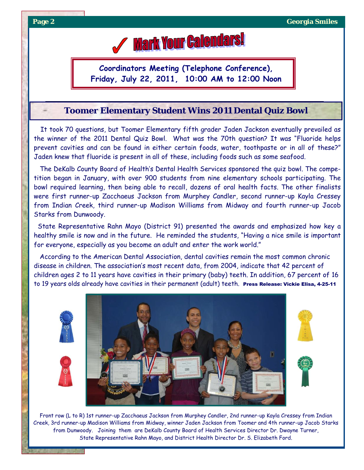# **Mark Your Calendars!**

**Coordinators Meeting (Telephone Conference), Friday, July 22, 2011, 10:00 AM to 12:00 Noon**

# **Toomer Elementary Student Wins 2011 Dental Quiz Bowl**

 It took 70 questions, but Toomer Elementary fifth grader Jaden Jackson eventually prevailed as the winner of the 2011 Dental Quiz Bowl. What was the 70th question? It was "Fluoride helps prevent cavities and can be found in either certain foods, water, toothpaste or in all of these?" Jaden knew that fluoride is present in all of these, including foods such as some seafood.

 The DeKalb County Board of Health's Dental Health Services sponsored the quiz bowl. The competition began in January, with over 900 students from nine elementary schools participating. The bowl required learning, then being able to recall, dozens of oral health facts. The other finalists were first runner-up Zacchaeus Jackson from Murphey Candler, second runner-up Kayla Cressey from Indian Creek, third runner-up Madison Williams from Midway and fourth runner-up Jacob Starks from Dunwoody.

 State Representative Rahn Mayo (District 91) presented the awards and emphasized how key a healthy smile is now and in the future. He reminded the students, "Having a nice smile is important for everyone, especially as you become an adult and enter the work world."

 According to the American Dental Association, dental cavities remain the most common chronic disease in children. The association's most recent data, from 2004, indicate that 42 percent of children ages 2 to 11 years have cavities in their primary (baby) teeth. In addition, 67 percent of 16 to 19 years olds already have cavities in their permanent (adult) teeth. Press Release: Vickie Elisa, 4-25-11







Front row (L to R) 1st runner-up Zacchaeus Jackson from Murphey Candler, 2nd runner-up Kayla Cressey from Indian Creek, 3rd runner-up Madison Williams from Midway, winner Jaden Jackson from Toomer and 4th runner-up Jacob Starks from Dunwoody. Joining them are DeKalb County Board of Health Services Director Dr. Dwayne Turner, State Representative Rahn Mayo, and District Health Director Dr. S. Elizabeth Ford.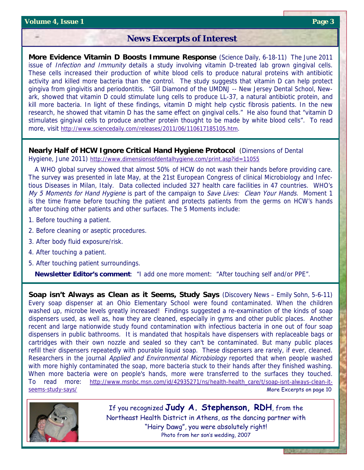# **News Excerpts of Interest**

**More Evidence Vitamin D Boosts Immune Response** (Science Daily, 6-18-11) The June 2011 issue of *Infection and Immunity* details a study involving vitamin D-treated lab grown gingival cells. These cells increased their production of white blood cells to produce natural proteins with antibiotic activity and killed more bacteria than the control. The study suggests that vitamin D can help protect gingiva from gingivitis and periodontitis. "Gill Diamond of the UMDNJ -- New Jersey Dental School, Newark, showed that vitamin D could stimulate lung cells to produce LL-37, a natural antibiotic protein, and kill more bacteria. In light of these findings, vitamin D might help cystic fibrosis patients. In the new research, he showed that vitamin D has the same effect on gingival cells." He also found that "vitamin D stimulates gingival cells to produce another protein thought to be made by white blood cells". To read more, visit http://www.sciencedaily.com/releases/2011/06/110617185105.htm.

**Nearly Half of HCW Ignore Critical Hand Hygiene Protocol** (Dimensions of Dental Hygiene, June 2011) http://www.dimensionsofdentalhygiene.com/print.asp?id=11055

 A WHO global survey showed that almost 50% of HCW do not wash their hands before providing care. The survey was presented in late May, at the 21st European Congress of clinical Microbiology and Infectious Diseases in Milan, Italy. Data collected included 327 health care facilities in 47 countries. WHO's My 5 Moments for Hand Hygiene is part of the campaign to Save Lives: Clean Your Hands. Moment 1 is the time frame before touching the patient and protects patients from the germs on HCW's hands after touching other patients and other surfaces. The 5 Moments include:

- 1. Before touching a patient.
- 2. Before cleaning or aseptic procedures.
- 3. After body fluid exposure/risk.
- 4. After touching a patient.
- 5. After touching patient surroundings.

**Newsletter Editor's comment**: "I add one more moment: "After touching self and/or PPE".

**Soap isn't Always as Clean as it Seems, Study Says** (Discovery News – Emily Sohn, 5-6-11) Every soap dispenser at an Ohio Elementary School were found contaminated. When the children washed up, microbe levels greatly increased! Findings suggested a re-examination of the kinds of soap dispensers used, as well as, how they are cleaned, especially in gyms and other public places. Another recent and large nationwide study found contamination with infectious bacteria in one out of four soap dispensers in public bathrooms. It is mandated that hospitals have dispensers with replaceable bags or cartridges with their own nozzle and sealed so they can't be contaminated. But many public places refill their dispensers repeatedly with pourable liquid soap. These dispensers are rarely, if ever, cleaned. Researchers in the journal Applied and Environmental Microbiology reported that when people washed with more highly contaminated the soap, more bacteria stuck to their hands after they finished washing. When more bacteria were on people's hands, more were transferred to the surfaces they touched. To read more: http://www.msnbc.msn.com/id/42935271/ns/health-health\_care/t/soap-isnt-always-clean-itseems-study-says/ More Excerpts on page 10



If you recognized **Judy A. Stephenson, RDH**, from the Northeast Health District in Athens, as the dancing partner with "Hairy Dawg", you were absolutely right! Photo from her son's wedding, 2007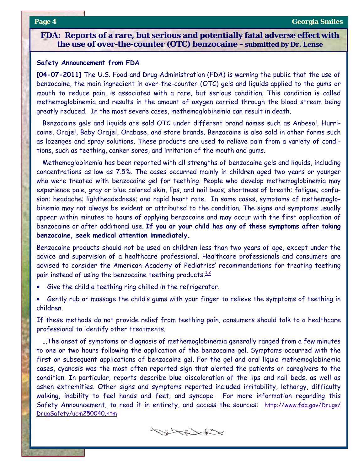## **FDA: Reports of a rare, but serious and potentially fatal adverse effect with the use of over-the-counter (OTC) benzocaine –submitted by Dr. Lense**

#### **Safety Announcement from FDA**

**[04-07-2011]** The U.S. Food and Drug Administration (FDA) is warning the public that the use of benzocaine, the main ingredient in over-the-counter (OTC) gels and liquids applied to the gums or mouth to reduce pain, is associated with a rare, but serious condition. This condition is called methemoglobinemia and results in the amount of oxygen carried through the blood stream being greatly reduced. In the most severe cases, methemoglobinemia can result in death.

 Benzocaine gels and liquids are sold OTC under different brand names such as Anbesol, Hurricaine, Orajel, Baby Orajel, Orabase, and store brands. Benzocaine is also sold in other forms such as lozenges and spray solutions. These products are used to relieve pain from a variety of conditions, such as teething, canker sores, and irritation of the mouth and gums.

 Methemoglobinemia has been reported with all strengths of benzocaine gels and liquids, including concentrations as low as 7.5%. The cases occurred mainly in children aged two years or younger who were treated with benzocaine gel for teething. People who develop methemoglobinemia may experience pale, gray or blue colored skin, lips, and nail beds; shortness of breath; fatigue; confusion; headache; lightheadedness; and rapid heart rate. In some cases, symptoms of methemoglobinemia may not always be evident or attributed to the condition. The signs and symptoms usually appear within minutes to hours of applying benzocaine and may occur with the first application of benzocaine or after additional use. **If you or your child has any of these symptoms after taking benzocaine, seek medical attention immediately.**

Benzocaine products should not be used on children less than two years of age, except under the advice and supervision of a healthcare professional. Healthcare professionals and consumers are advised to consider the American Academy of Pediatrics' recommendations for treating teething pain instead of using the benzocaine teething products: $\frac{1.2}{1.2}$ 

- Give the child a teething ring chilled in the refrigerator.
- Gently rub or massage the child's gums with your finger to relieve the symptoms of teething in children.

If these methods do not provide relief from teething pain, consumers should talk to a healthcare professional to identify other treatments.

 ...The onset of symptoms or diagnosis of methemoglobinemia generally ranged from a few minutes to one or two hours following the application of the benzocaine gel. Symptoms occurred with the first or subsequent applications of benzocaine gel. For the gel and oral liquid methemoglobinemia cases, cyanosis was the most often reported sign that alerted the patients or caregivers to the condition. In particular, reports describe blue discoloration of the lips and nail beds, as well as ashen extremities. Other signs and symptoms reported included irritability, lethargy, difficulty walking, inability to feel hands and feet, and syncope. For more information regarding this Safety Announcement, to read it in entirety, and access the sources: http://www.fda.gov/Drugs/ DrugSafety/ucm250040.htm

 $\leftarrow$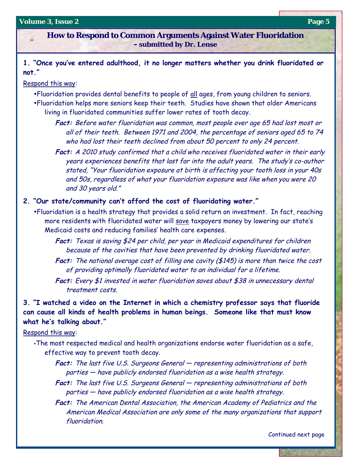#### **Volume 3, Issue 2 Page 5**

**How to Respond to Common Arguments Against Water Fluoridation –submitted by Dr. Lense**

**1. "Once you've entered adulthood, it no longer matters whether you drink fluoridated or not."**

# Respond this way:

- . Fluoridation provides dental benefits to people of all ages, from young children to seniors.
- •Fluoridation helps more seniors keep their teeth. Studies have shown that older Americans living in fluoridated communities suffer lower rates of tooth decay.
	- **Fact:** Before water fluoridation was common, most people over age 65 had lost most or all of their teeth. Between 1971 and 2004, the percentage of seniors aged 65 to 74 who had lost their teeth declined from about 50 percent to only 24 percent.
	- **Fact:** A 2010 study confirmed that a child who receives fluoridated water in their early years experiences benefits that last far into the adult years. The study's co-author stated, "Your fluoridation exposure at birth is affecting your tooth loss in your 40s and 50s, regardless of what your fluoridation exposure was like when you were 20 and 30 years old."

### **2. "Our state/community can't afford the cost of fluoridating water."**

- . Fluoridation is a health strategy that provides a solid return on investment. In fact, reaching more residents with fluoridated water will save taxpayers money by lowering our state's Medicaid costs and reducing families' health care expenses.
	- **Fact:** Texas is saving \$24 per child, per year in Medicaid expenditures for children because of the cavities that have been prevented by drinking fluoridated water.
	- **Fact:** The national average cost of filling one cavity (\$145) is more than twice the cost of providing optimally fluoridated water to an individual for a lifetime.
	- Fact: Every \$1 invested in water fluoridation saves about \$38 in unnecessary dental treatment costs.

**3. "I watched a video on the Internet in which a chemistry professor says that fluoride can cause all kinds of health problems in human beings. Someone like that must know what he's talking about."** 

## Respond this way:

- The most respected medical and health organizations endorse water fluoridation as a safe, effective way to prevent tooth decay.
	- **Fact:** The last five U.S. Surgeons General representing administrations of both parties — have publicly endorsed fluoridation as a wise health strategy.
	- **Fact:** The last five U.S. Surgeons General representing administrations of both parties — have publicly endorsed fluoridation as a wise health strategy.
	- **Fact:** The American Dental Association, the American Academy of Pediatrics and the American Medical Association are only some of the many organizations that support fluoridation.

Continued next page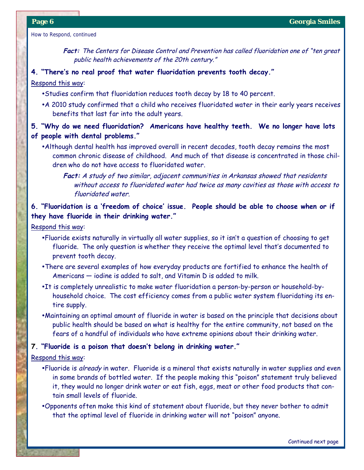How to Respond, continued

**Fact:** The Centers for Disease Control and Prevention has called fluoridation one of "ten great public health achievements of the 20th century."

# **4. "There's no real proof that water fluoridation prevents tooth decay."**

### Respond this way:

- Studies confirm that fluoridation reduces tooth decay by 18 to 40 percent.
- . A 2010 study confirmed that a child who receives fluoridated water in their early years receives benefits that last far into the adult years.

# **5. "Why do we need fluoridation? Americans have healthy teeth. We no longer have lots of people with dental problems."**

. Although dental health has improved overall in recent decades, tooth decay remains the most common chronic disease of childhood. And much of that disease is concentrated in those children who do not have access to fluoridated water.

Fact: A study of two similar, adjacent communities in Arkansas showed that residents without access to fluoridated water had twice as many cavities as those with access to fluoridated water.

# **6. "Fluoridation is a 'freedom of choice' issue. People should be able to choose when or if they have fluoride in their drinking water."**

Respond this way:

- . Fluoride exists naturally in virtually all water supplies, so it isn't a question of choosing to get fluoride. The only question is whether they receive the optimal level that's documented to prevent tooth decay.
- There are several examples of how everyday products are fortified to enhance the health of Americans — iodine is added to salt, and Vitamin D is added to milk.
- . It is completely unrealistic to make water fluoridation a person-by-person or household-byhousehold choice. The cost efficiency comes from a public water system fluoridating its entire supply.
- . Maintaining an optimal amount of fluoride in water is based on the principle that decisions about public health should be based on what is healthy for the entire community, not based on the fears of a handful of individuals who have extreme opinions about their drinking water.

### **7. "Fluoride is a poison that doesn't belong in drinking water."**

#### Respond this way:

- •Fluoride is already in water. Fluoride is a mineral that exists naturally in water supplies and even in some brands of bottled water. If the people making this "poison" statement truly believed it, they would no longer drink water or eat fish, eggs, meat or other food products that contain small levels of fluoride.
- .Opponents often make this kind of statement about fluoride, but they never bother to admit that the optimal level of fluoride in drinking water will not "poison" anyone.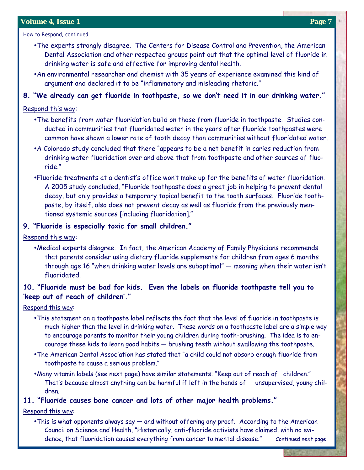How to Respond, continued

- The experts strongly disagree. The Centers for Disease Control and Prevention, the American Dental Association and other respected groups point out that the optimal level of fluoride in drinking water is safe and effective for improving dental health.
- An environmental researcher and chemist with 35 years of experience examined this kind of argument and declared it to be "inflammatory and misleading rhetoric."
- **8. "We already can get fluoride in toothpaste, so we don't need it in our drinking water."**

# Respond this way:

- The benefits from water fluoridation build on those from fluoride in toothpaste. Studies conducted in communities that fluoridated water in the years after fluoride toothpastes were common have shown a lower rate of tooth decay than communities without fluoridated water.
- A Colorado study concluded that there "appears to be a net benefit in caries reduction from drinking water fluoridation over and above that from toothpaste and other sources of fluoride."
- ŸFluoride treatments at a dentist's office won't make up for the benefits of water fluoridation. A 2005 study concluded, "Fluoride toothpaste does a great job in helping to prevent dental decay, but only provides a temporary topical benefit to the tooth surfaces. Fluoride toothpaste, by itself, also does not prevent decay as well as fluoride from the previously mentioned systemic sources [including fluoridation]."

# **9. "Fluoride is especially toxic for small children."**

Respond this way:

• Medical experts disagree. In fact, the American Academy of Family Physicians recommends that parents consider using dietary fluoride supplements for children from ages 6 months through age 16 "when drinking water levels are suboptimal" — meaning when their water isn't fluoridated.

# **10. "Fluoride must be bad for kids. Even the labels on fluoride toothpaste tell you to 'keep out of reach of children'."**

Respond this way:

- This statement on a toothpaste label reflects the fact that the level of fluoride in toothpaste is much higher than the level in drinking water. These words on a toothpaste label are a simple way to encourage parents to monitor their young children during tooth-brushing. The idea is to encourage these kids to learn good habits — brushing teeth without swallowing the toothpaste.
- . The American Dental Association has stated that "a child could not absorb enough fluoride from toothpaste to cause a serious problem."
- Many vitamin labels (see next page) have similar statements: "Keep out of reach of children." That's because almost anything can be harmful if left in the hands of unsupervised, young children.

### **11. "Fluoride causes bone cancer and lots of other major health problems."**

Respond this way:

 $\bullet$ This is what opponents always say  $-$  and without offering any proof. According to the American Council on Science and Health, "Historically, anti-fluoride activists have claimed, with no evidence, that fluoridation causes everything from cancer to mental disease." Continued next page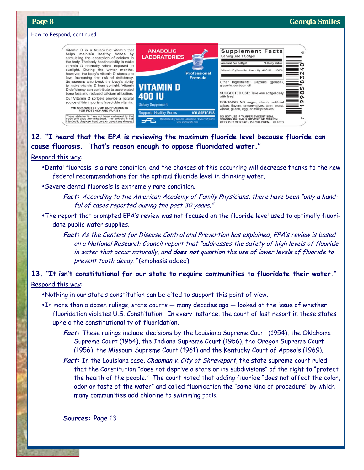o

4

И

т

 $\infty$ 

īn

8

ô

Ö

Z

% Daily Valu

VL 832D

#### How to Respond, continued

Vitamin D is a fat-soluble vitamin that helps maintain healthy bones by stimulating the absorption of calcium in the body. The body has the ability to make<br>vitamin D naturally when exposed to sunlight. During the winter months,<br>however, the body's vitamin D stores are low, increasing the risk of deficiency.<br>Sunscreens also block the body's ability to make vitamin D from sunlight. Vitamin<br>D deficiency can contribute to accelerated bone loss and reduced calcium utilization Our Vitamin D softgels provide a natural source of this important fat-soluble vitamin. WE GUARANTEE OUR SUPPLEMENTS<br>FOR POTENCY AND PURITY



hese statements have not been evaluated by the<br>ood and Drug Administration. This product is not<br>itended to diagnose, treat, cure, or prevent any disease.

# **12. "I heard that the EPA is reviewing the maximum fluoride level because fluoride can cause fluorosis. That's reason enough to oppose fluoridated water."**

400 IU

**Supports Healthy** 

#### Respond this way:

- •Dental fluorosis is a rare condition, and the chances of this occurring will decrease thanks to the new federal recommendations for the optimal fluoride level in drinking water.
- Severe dental fluorosis is extremely rare condition.
	- **Fact:** According to the American Academy of Family Physicians, there have been "only a handful of cases reported during the past 30 years."
- The report that prompted EPA's review was not focused on the fluoride level used to optimally fluoridate public water supplies.
	- Fact: As the Centers for Disease Control and Prevention has explained, EPA's review is based on a National Research Council report that "addresses the safety of high levels of fluoride in water that occur naturally, and **does not** question the use of lower levels of fluoride to prevent tooth decay." (emphasis added)

# **13. "It isn't constitutional for our state to require communities to fluoridate their water."**

### Respond this way:

- •Nothing in our state's constitution can be cited to support this point of view.
- $\bullet$ In more than a dozen rulings, state courts  $-$  many decades ago  $-$  looked at the issue of whether fluoridation violates U.S. Constitution. In every instance, the court of last resort in these states upheld the constitutionality of fluoridation.
	- **Fact:** These rulings include decisions by the Louisiana Supreme Court (1954), the Oklahoma Supreme Court (1954), the Indiana Supreme Court (1956), the Oregon Supreme Court (1956), the Missouri Supreme Court (1961) and the Kentucky Court of Appeals (1969).
	- **Fact:** In the Louisiana case, Chapman v. City of Shreveport, the state supreme court ruled that the Constitution "does not deprive a state or its subdivisions" of the right to "protect the health of the people." The court noted that adding fluoride "does not affect the color, odor or taste of the water" and called fluoridation the "same kind of procedure" by which many communities add chlorine to swimming pools.

**Sources:** Page 13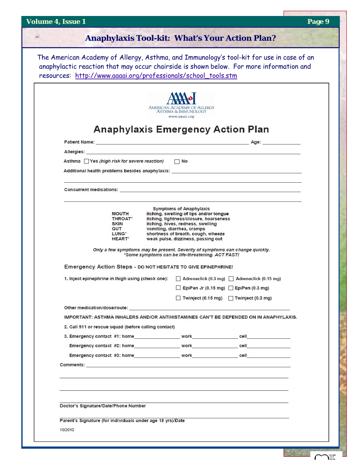$\sqrt{ }$ 

Georgia

|  | Anaphylaxis Tool-kit: What's Your Action Plan? |
|--|------------------------------------------------|
|--|------------------------------------------------|

The American Academy of Allergy, Asthma, and Immunology's tool-kit for use in case of an anaphylactic reaction that may occur chairside is shown below. For more information and<br>notational that the latter is the constant of the channel of the constant of the constant of the constant of the constant of the const resources: http://www.aaaai.org/professionals/school\_tools.stm

|                                                                                                      |                                    |                                                                                   | AMERICAN ACADEMY OF ALLERGY<br><b>ASTHMA &amp; IMMUNOLOGY</b><br>www.aaaai.org                                                                     |  |  |  |
|------------------------------------------------------------------------------------------------------|------------------------------------|-----------------------------------------------------------------------------------|----------------------------------------------------------------------------------------------------------------------------------------------------|--|--|--|
|                                                                                                      |                                    |                                                                                   | <b>Anaphylaxis Emergency Action Plan</b>                                                                                                           |  |  |  |
|                                                                                                      |                                    |                                                                                   |                                                                                                                                                    |  |  |  |
|                                                                                                      |                                    |                                                                                   |                                                                                                                                                    |  |  |  |
| Asthma Yes (high risk for severe reaction) No                                                        |                                    |                                                                                   |                                                                                                                                                    |  |  |  |
|                                                                                                      |                                    |                                                                                   | ,我们也不会有什么。""我们的人,我们也不会有什么?""我们的人,我们也不会有什么?""我们的人,我们也不会有什么?""我们的人,我们也不会有什么?""我们的人                                                                   |  |  |  |
|                                                                                                      | <b>MOUTH</b>                       |                                                                                   | and the control of the control of the control of the control of the control of the control of the control of the<br><b>Symptoms of Anaphylaxis</b> |  |  |  |
|                                                                                                      | <b>THROAT*</b>                     | itching, swelling of lips and/or tongue<br>itching, tightness/closure, hoarseness |                                                                                                                                                    |  |  |  |
| <b>SKIN</b><br><b>GUT</b>                                                                            |                                    | itching, hives, redness, swelling<br>vomiting, diarrhea, cramps                   |                                                                                                                                                    |  |  |  |
|                                                                                                      | LUNG <sup>*</sup><br><b>HEART*</b> |                                                                                   | shortness of breath, cough, wheeze<br>weak pulse, dizziness, passing out                                                                           |  |  |  |
|                                                                                                      |                                    |                                                                                   | Only a few symptoms may be present. Severity of symptoms can change quickly.<br>*Some symptoms can be life-threatening. ACT FAST!                  |  |  |  |
| Emergency Action Steps - DO NOT HESITATE TO GIVE EPINEPHRINE!                                        |                                    |                                                                                   |                                                                                                                                                    |  |  |  |
| 1. Inject epinephrine in thigh using (check one):   Adrenaclick (0.3 mg)   Adrenaclick (0.15 mg)     |                                    |                                                                                   |                                                                                                                                                    |  |  |  |
|                                                                                                      |                                    |                                                                                   | EpiPen Jr (0.15 mg) EpiPen (0.3 mg)                                                                                                                |  |  |  |
|                                                                                                      |                                    |                                                                                   | Twinject (0.15 mg) Twinject (0.3 mg)                                                                                                               |  |  |  |
| Other medication/dose/route: www.communication.com/second-communication-communication-communication- |                                    |                                                                                   |                                                                                                                                                    |  |  |  |
| IMPORTANT: ASTHMA INHALERS AND/OR ANTIHISTAMINES CAN'T BE DEPENDED ON IN ANAPHYLAXIS.                |                                    |                                                                                   |                                                                                                                                                    |  |  |  |
| 2. Call 911 or rescue squad (before calling contact)                                                 |                                    |                                                                                   |                                                                                                                                                    |  |  |  |
| 3. Emergency contact #1: home work work only cell                                                    |                                    |                                                                                   |                                                                                                                                                    |  |  |  |
|                                                                                                      |                                    |                                                                                   |                                                                                                                                                    |  |  |  |
| Emergency contact #3: home work work work cell                                                       |                                    |                                                                                   |                                                                                                                                                    |  |  |  |
|                                                                                                      |                                    |                                                                                   |                                                                                                                                                    |  |  |  |
|                                                                                                      |                                    |                                                                                   |                                                                                                                                                    |  |  |  |
| Doctor's Signature/Date/Phone Number                                                                 |                                    |                                                                                   |                                                                                                                                                    |  |  |  |
|                                                                                                      |                                    |                                                                                   |                                                                                                                                                    |  |  |  |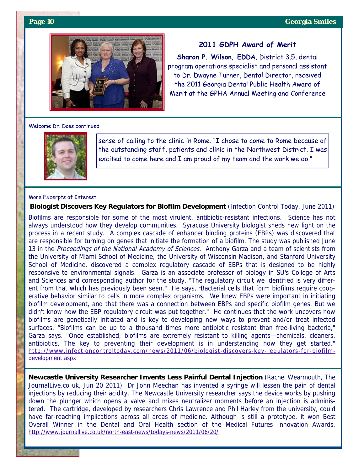

#### **2011 GDPH Award of Merit**

**Sharon P. Wilson, EDDA**, District 3.5, dental program operations specialist and personal assistant to Dr. Dwayne Turner, Dental Director, received the 2011 Georgia Dental Public Health Award of Merit at the GPHA Annual Meeting and Conference

#### Welcome Dr. Doss continued



sense of calling to the clinic in Rome. "I chose to come to Rome because of the outstanding staff, patients and clinic in the Northwest District. I was excited to come here and I am proud of my team and the work we do."

#### More Excerpts of Interest

**Biologist Discovers Key Regulators for Biofilm Development** (Infection Control Today, June 2011)

Biofilms are responsible for some of the most virulent, antibiotic-resistant infections. Science has not always understood how they develop communities. Syracuse University biologist sheds new light on the process in a recent study. A complex cascade of enhancer binding proteins (EBPs) was discovered that are responsible for turning on genes that initiate the formation of a biofilm. The study was published June 13 in the Proceedings of the National Academy of Sciences. Anthony Garza and a team of scientists from the University of Miami School of Medicine, the University of Wisconsin-Madison, and Stanford University School of Medicine, discovered a complex regulatory cascade of EBPs that is designed to be highly responsive to environmental signals. Garza is an associate professor of biology in SU's College of Arts and Sciences and corresponding author for the study. "The regulatory circuit we identified is very different from that which has previously been seen." He says, "Bacterial cells that form biofilms require cooperative behavior similar to cells in more complex organisms. We knew EBPs were important in initiating biofilm development, and that there was a connection between EBPs and specific biofilm genes. But we didn't know how the EBP regulatory circuit was put together." He continues that the work uncovers how biofilms are genetically initiated and is key to developing new ways to prevent and/or treat infected surfaces, "Biofilms can be up to a thousand times more antibiotic resistant than free-living bacteria," Garza says. "Once established, biofilms are extremely resistant to killing agents—chemicals, cleaners, antibiotics. The key to preventing their development is in understanding how they get started." http://www.infectioncontroltoday.com/news/2011/06/biologist-discovers-key-regulators-for-biofilmdevelopment.aspx

**Newcastle University Researcher Invents Less Painful Dental Injection** (Rachel Wearmouth, The JournalLive.co uk, Jun 20 2011) Dr John Meechan has invented a syringe will lessen the pain of dental injections by reducing their acidity. The Newcastle University researcher says the device works by pushing down the plunger which opens a valve and mixes neutralizer moments before an injection is administered. The cartridge, developed by researchers Chris Lawrence and Phil Harley from the university, could have far-reaching implications across all areas of medicine. Although is still a prototype, it won Best Overall Winner in the Dental and Oral Health section of the Medical Futures Innovation Awards. http://www.journallive.co.uk/north-east-news/todays-news/2011/06/20/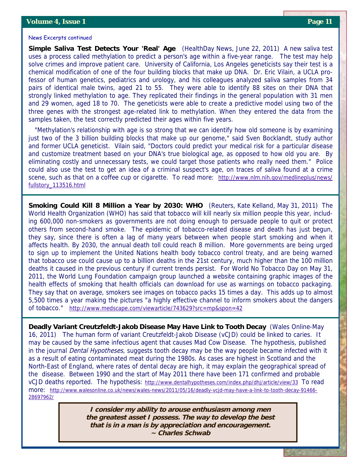#### News Excerpts continued

**Simple Saliva Test Detects Your 'Real' Age** (HealthDay News, June 22, 2011) A new saliva test uses a process called methylation to predict a person's age within a five-year range. The test may help solve crimes and improve patient care. University of California, Los Angeles geneticists say their test is a chemical modification of one of the four building blocks that make up DNA. Dr. Eric Vilain, a UCLA professor of human genetics, pediatrics and urology, and his colleagues analyzed saliva samples from 34 pairs of identical male twins, aged 21 to 55. They were able to identify 88 sites on their DNA that strongly linked methylation to age. They replicated their findings in the general population with 31 men and 29 women, aged 18 to 70. The geneticists were able to create a predictive model using two of the three genes with the strongest age-related link to methylation. When they entered the data from the samples taken, the test correctly predicted their ages within five years.

 "Methylation's relationship with age is so strong that we can identify how old someone is by examining just two of the 3 billion building blocks that make up our genome," said Sven Bocklandt, study author and former UCLA geneticist. Vilain said, "Doctors could predict your medical risk for a particular disease and customize treatment based on your DNA's true biological age, as opposed to how old you are. By eliminating costly and unnecessary tests, we could target those patients who really need them." Police could also use the test to get an idea of a criminal suspect's age, on traces of saliva found at a crime scene, such as that on a coffee cup or cigarette. To read more: http://www.nlm.nih.gov/medlineplus/news/ fullstory\_113516.html

**Smoking Could Kill 8 Million a Year by 2030: WHO** (Reuters, Kate Kelland, May 31, 2011) The World Health Organization (WHO) has said that tobacco will kill nearly six million people this year, including 600,000 non-smokers as governments are not doing enough to persuade people to quit or protect others from second-hand smoke. The epidemic of tobacco-related disease and death has just begun, they say, since there is often a lag of many years between when people start smoking and when it affects health. By 2030, the annual death toll could reach 8 million. More governments are being urged to sign up to implement the United Nations health body tobacco control treaty, and are being warned that tobacco use could cause up to a billion deaths in the 21st century, much higher than the 100 million deaths it caused in the previous century if current trends persist. For World No Tobacco Day on May 31, 2011, the World Lung Foundation campaign group launched a website containing graphic images of the health effects of smoking that health officials can download for use as warnings on tobacco packaging. They say that on average, smokers see images on tobacco packs 15 times a day. This adds up to almost 5,500 times a year making the pictures "a highly effective channel to inform smokers about the dangers of tobacco." http://www.medscape.com/viewarticle/743629?src=mp&spon=42

**Deadly Variant Creutzfeldt-Jakob Disease May Have Link to Tooth Decay** (Wales Online-May 16, 2011) The human form of variant Creutzfeldt-Jakob Disease (vCJD) could be linked to caries. It may be caused by the same infectious agent that causes Mad Cow Disease. The hypothesis, published in the journal *Dental Hypotheses*, suggests tooth decay may be the way people became infected with it as a result of eating contaminated meat during the 1980s. As cases are highest in Scotland and the North-East of England, where rates of dental decay are high, it may explain the geographical spread of the disease. Between 1990 and the start of May 2011 there have been 171 confirmed and probable vCJD deaths reported. The hypothesis: http://www.dentalhypotheses.com/index.php/dhj/article/view/33 To read more: http://www.walesonline.co.uk/news/wales-news/2011/05/16/deadly-vcjd-may-have-a-link-to-tooth-decay-91466- 28697962/

> **I consider my ability to arouse enthusiasm among men the greatest asset I possess. The way to develop the best that is in a man is by appreciation and encouragement. ~ Charles Schwab**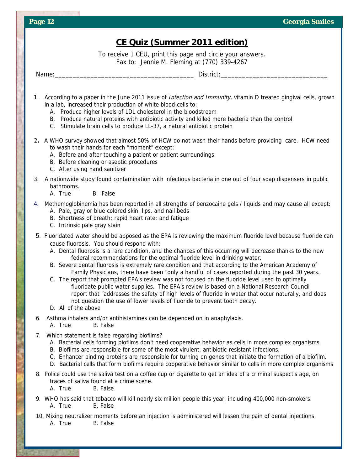| <b>CE Quiz (Summer 2011 edition)</b>                                                                                                                                                                                                                                                                                                                                                                                                                                                                                                                                                                                                                                                                                                                                                                                                                                                                                                                                          |  |  |  |  |  |  |
|-------------------------------------------------------------------------------------------------------------------------------------------------------------------------------------------------------------------------------------------------------------------------------------------------------------------------------------------------------------------------------------------------------------------------------------------------------------------------------------------------------------------------------------------------------------------------------------------------------------------------------------------------------------------------------------------------------------------------------------------------------------------------------------------------------------------------------------------------------------------------------------------------------------------------------------------------------------------------------|--|--|--|--|--|--|
| To receive 1 CEU, print this page and circle your answers.                                                                                                                                                                                                                                                                                                                                                                                                                                                                                                                                                                                                                                                                                                                                                                                                                                                                                                                    |  |  |  |  |  |  |
| Fax to: Jennie M. Fleming at (770) 339-4267                                                                                                                                                                                                                                                                                                                                                                                                                                                                                                                                                                                                                                                                                                                                                                                                                                                                                                                                   |  |  |  |  |  |  |
|                                                                                                                                                                                                                                                                                                                                                                                                                                                                                                                                                                                                                                                                                                                                                                                                                                                                                                                                                                               |  |  |  |  |  |  |
| 1. According to a paper in the June 2011 issue of <i>Infection and Immunity</i> , vitamin D treated gingival cells, grown<br>in a lab, increased their production of white blood cells to:<br>A. Produce higher levels of LDL cholesterol in the bloodstream<br>B. Produce natural proteins with antibiotic activity and killed more bacteria than the control<br>C. Stimulate brain cells to produce LL-37, a natural antibiotic protein                                                                                                                                                                                                                                                                                                                                                                                                                                                                                                                                     |  |  |  |  |  |  |
| 2. A WHO survey showed that almost 50% of HCW do not wash their hands before providing care. HCW need<br>to wash their hands for each "moment" except:<br>A. Before and after touching a patient or patient surroundings<br>B. Before cleaning or aseptic procedures<br>C. After using hand sanitizer                                                                                                                                                                                                                                                                                                                                                                                                                                                                                                                                                                                                                                                                         |  |  |  |  |  |  |
| 3. A nationwide study found contamination with infectious bacteria in one out of four soap dispensers in public<br>bathrooms.<br>A. True<br>B. False                                                                                                                                                                                                                                                                                                                                                                                                                                                                                                                                                                                                                                                                                                                                                                                                                          |  |  |  |  |  |  |
| 4. Methemoglobinemia has been reported in all strengths of benzocaine gels / liquids and may cause all except:<br>A. Pale, gray or blue colored skin, lips, and nail beds<br>B. Shortness of breath; rapid heart rate; and fatigue<br>C. Intrinsic pale gray stain                                                                                                                                                                                                                                                                                                                                                                                                                                                                                                                                                                                                                                                                                                            |  |  |  |  |  |  |
| 5. Fluoridated water should be apposed as the EPA is reviewing the maximum fluoride level because fluoride can<br>cause fluorosis. You should respond with:<br>A. Dental fluorosis is a rare condition, and the chances of this occurring will decrease thanks to the new<br>federal recommendations for the optimal fluoride level in drinking water.<br>B. Severe dental fluorosis is extremely rare condition and that according to the American Academy of<br>Family Physicians, there have been "only a handful of cases reported during the past 30 years.<br>C. The report that prompted EPA's review was not focused on the fluoride level used to optimally<br>fluoridate public water supplies. The EPA's review is based on a National Research Council<br>report that "addresses the safety of high levels of fluoride in water that occur naturally, and does<br>not question the use of lower levels of fluoride to prevent tooth decay.<br>D. All of the above |  |  |  |  |  |  |
| Asthma inhalers and/or antihistamines can be depended on in anaphylaxis.<br>6.<br>B. False<br>A. True                                                                                                                                                                                                                                                                                                                                                                                                                                                                                                                                                                                                                                                                                                                                                                                                                                                                         |  |  |  |  |  |  |
| 7. Which statement is false regarding biofilms?<br>A. Bacterial cells forming biofilms don't need cooperative behavior as cells in more complex organisms<br>B. Biofilms are responsible for some of the most virulent, antibiotic-resistant infections.<br>C. Enhancer binding proteins are responsible for turning on genes that initiate the formation of a biofilm.<br>D. Bacterial cells that form biofilms require cooperative behavior similar to cells in more complex organisms                                                                                                                                                                                                                                                                                                                                                                                                                                                                                      |  |  |  |  |  |  |
| 8. Police could use the saliva test on a coffee cup or cigarette to get an idea of a criminal suspect's age, on<br>traces of saliva found at a crime scene.<br>A. True<br>B. False                                                                                                                                                                                                                                                                                                                                                                                                                                                                                                                                                                                                                                                                                                                                                                                            |  |  |  |  |  |  |
| 9. WHO has said that tobacco will kill nearly six million people this year, including 400,000 non-smokers.<br>B. False<br>A. True                                                                                                                                                                                                                                                                                                                                                                                                                                                                                                                                                                                                                                                                                                                                                                                                                                             |  |  |  |  |  |  |
| 10. Mixing neutralizer moments before an injection is administered will lessen the pain of dental injections.<br>A. True<br>B. False                                                                                                                                                                                                                                                                                                                                                                                                                                                                                                                                                                                                                                                                                                                                                                                                                                          |  |  |  |  |  |  |